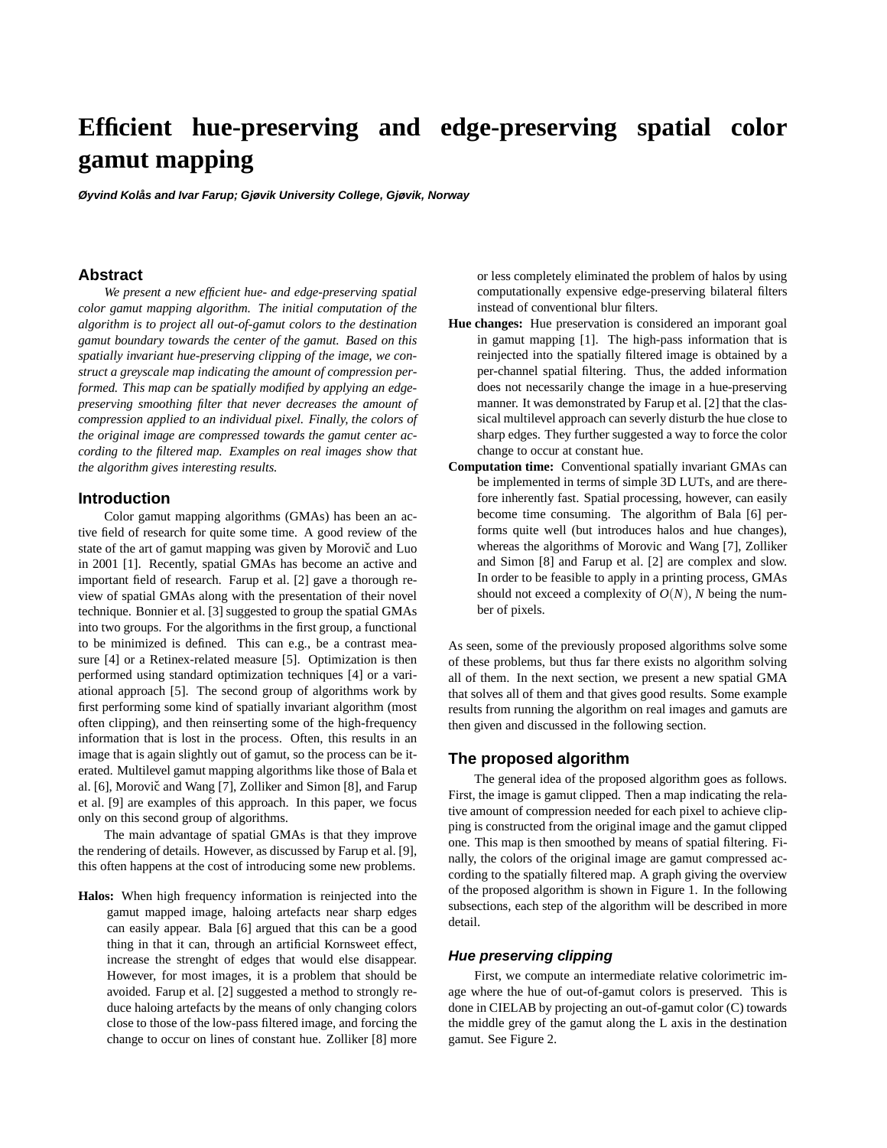# **Efficient hue-preserving and edge-preserving spatial color gamut mapping**

**Øyvind Kolås and Ivar Farup; Gjøvik University College, Gjø vik, Norway**

## **Abstract**

*We present a new efficient hue- and edge-preserving spatial color gamut mapping algorithm. The initial computation of the algorithm is to project all out-of-gamut colors to the destination gamut boundary towards the center of the gamut. Based on this spatially invariant hue-preserving clipping of the image, we construct a greyscale map indicating the amount of compression performed. This map can be spatially modified by applying an edgepreserving smoothing filter that never decreases the amount of compression applied to an individual pixel. Finally, the colors of the original image are compressed towards the gamut center according to the filtered map. Examples on real images show that the algorithm gives interesting results.*

### **Introduction**

Color gamut mapping algorithms (GMAs) has been an active field of research for quite some time. A good review of the state of the art of gamut mapping was given by Morovič and Luo in 2001 [1]. Recently, spatial GMAs has become an active and important field of research. Farup et al. [2] gave a thorough review of spatial GMAs along with the presentation of their novel technique. Bonnier et al. [3] suggested to group the spatial GMAs into two groups. For the algorithms in the first group, a functional to be minimized is defined. This can e.g., be a contrast measure [4] or a Retinex-related measure [5]. Optimization is then performed using standard optimization techniques [4] or a variational approach [5]. The second group of algorithms work by first performing some kind of spatially invariant algorithm (most often clipping), and then reinserting some of the high-frequency information that is lost in the process. Often, this results in an image that is again slightly out of gamut, so the process can be iterated. Multilevel gamut mapping algorithms like those of Bala et al. [6], Morovič and Wang [7], Zolliker and Simon [8], and Farup et al. [9] are examples of this approach. In this paper, we focus only on this second group of algorithms.

The main advantage of spatial GMAs is that they improve the rendering of details. However, as discussed by Farup et al. [9], this often happens at the cost of introducing some new problems.

**Halos:** When high frequency information is reinjected into the gamut mapped image, haloing artefacts near sharp edges can easily appear. Bala [6] argued that this can be a good thing in that it can, through an artificial Kornsweet effect, increase the strenght of edges that would else disappear. However, for most images, it is a problem that should be avoided. Farup et al. [2] suggested a method to strongly reduce haloing artefacts by the means of only changing colors close to those of the low-pass filtered image, and forcing the change to occur on lines of constant hue. Zolliker [8] more or less completely eliminated the problem of halos by using computationally expensive edge-preserving bilateral filters instead of conventional blur filters.

- **Hue changes:** Hue preservation is considered an imporant goal in gamut mapping [1]. The high-pass information that is reinjected into the spatially filtered image is obtained by a per-channel spatial filtering. Thus, the added information does not necessarily change the image in a hue-preserving manner. It was demonstrated by Farup et al. [2] that the classical multilevel approach can severly disturb the hue close to sharp edges. They further suggested a way to force the color change to occur at constant hue.
- **Computation time:** Conventional spatially invariant GMAs can be implemented in terms of simple 3D LUTs, and are therefore inherently fast. Spatial processing, however, can easily become time consuming. The algorithm of Bala [6] performs quite well (but introduces halos and hue changes), whereas the algorithms of Morovic and Wang [7], Zolliker and Simon [8] and Farup et al. [2] are complex and slow. In order to be feasible to apply in a printing process, GMAs should not exceed a complexity of  $O(N)$ , N being the number of pixels.

As seen, some of the previously proposed algorithms solve some of these problems, but thus far there exists no algorithm solving all of them. In the next section, we present a new spatial GMA that solves all of them and that gives good results. Some example results from running the algorithm on real images and gamuts are then given and discussed in the following section.

## **The proposed algorithm**

The general idea of the proposed algorithm goes as follows. First, the image is gamut clipped. Then a map indicating the relative amount of compression needed for each pixel to achieve clipping is constructed from the original image and the gamut clipped one. This map is then smoothed by means of spatial filtering. Finally, the colors of the original image are gamut compressed according to the spatially filtered map. A graph giving the overview of the proposed algorithm is shown in Figure 1. In the following subsections, each step of the algorithm will be described in more detail.

#### **Hue preserving clipping**

First, we compute an intermediate relative colorimetric image where the hue of out-of-gamut colors is preserved. This is done in CIELAB by projecting an out-of-gamut color (C) towards the middle grey of the gamut along the L axis in the destination gamut. See Figure 2.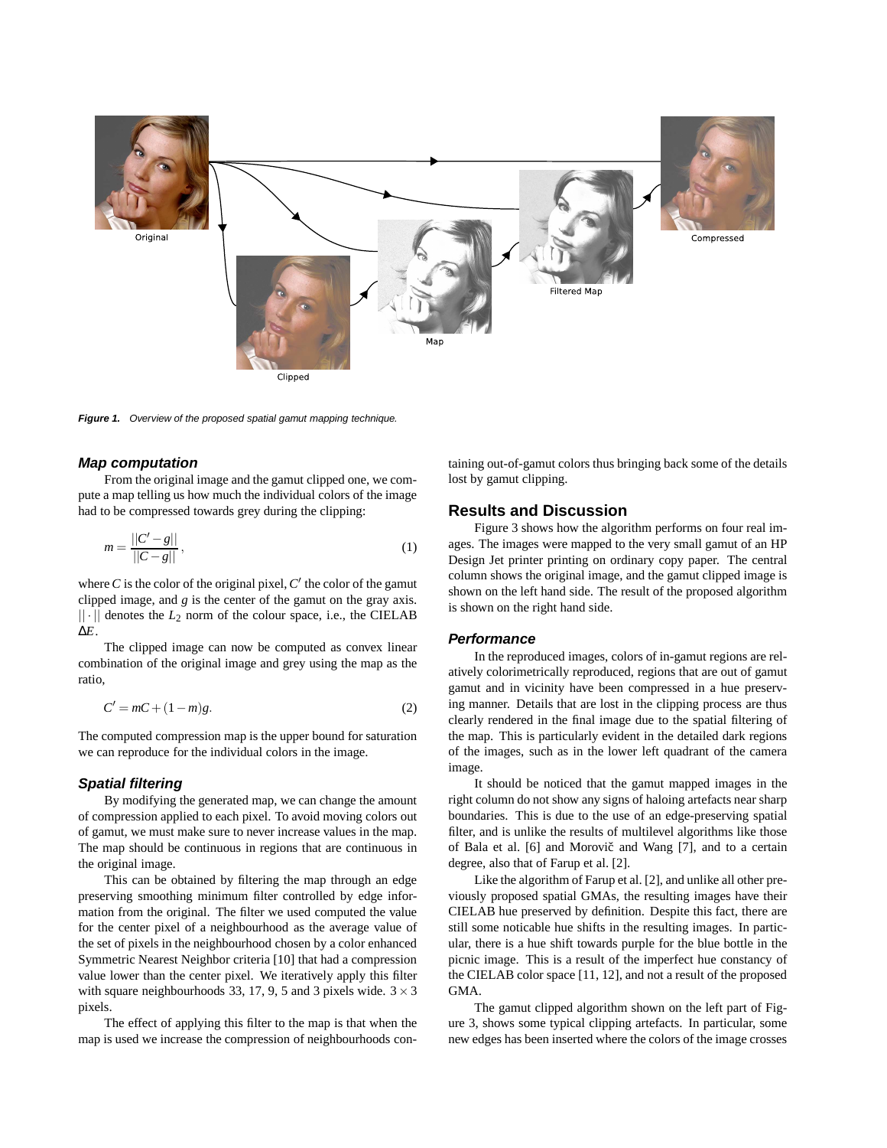

**Figure 1.** Overview of the proposed spatial gamut mapping technique.

## **Map computation**

From the original image and the gamut clipped one, we compute a map telling us how much the individual colors of the image had to be compressed towards grey during the clipping:

$$
m = \frac{||C' - g||}{||C - g||},
$$
\n(1)

where  $C$  is the color of the original pixel,  $C'$  the color of the gamut clipped image, and *g* is the center of the gamut on the gray axis.  $|| \cdot ||$  denotes the  $L_2$  norm of the colour space, i.e., the CIELAB ∆*E*.

The clipped image can now be computed as convex linear combination of the original image and grey using the map as the ratio,

$$
C' = mC + (1 - m)g.
$$
\n<sup>(2)</sup>

The computed compression map is the upper bound for saturation we can reproduce for the individual colors in the image.

## **Spatial filtering**

By modifying the generated map, we can change the amount of compression applied to each pixel. To avoid moving colors out of gamut, we must make sure to never increase values in the map. The map should be continuous in regions that are continuous in the original image.

This can be obtained by filtering the map through an edge preserving smoothing minimum filter controlled by edge information from the original. The filter we used computed the value for the center pixel of a neighbourhood as the average value of the set of pixels in the neighbourhood chosen by a color enhanced Symmetric Nearest Neighbor criteria [10] that had a compression value lower than the center pixel. We iteratively apply this filter with square neighbourhoods 33, 17, 9, 5 and 3 pixels wide.  $3 \times 3$ pixels.

The effect of applying this filter to the map is that when the map is used we increase the compression of neighbourhoods con-

taining out-of-gamut colors thus bringing back some of the details lost by gamut clipping.

## **Results and Discussion**

Figure 3 shows how the algorithm performs on four real images. The images were mapped to the very small gamut of an HP Design Jet printer printing on ordinary copy paper. The central column shows the original image, and the gamut clipped image is shown on the left hand side. The result of the proposed algorithm is shown on the right hand side.

#### **Performance**

In the reproduced images, colors of in-gamut regions are relatively colorimetrically reproduced, regions that are out of gamut gamut and in vicinity have been compressed in a hue preserving manner. Details that are lost in the clipping process are thus clearly rendered in the final image due to the spatial filtering of the map. This is particularly evident in the detailed dark regions of the images, such as in the lower left quadrant of the camera image.

It should be noticed that the gamut mapped images in the right column do not show any signs of haloing artefacts near sharp boundaries. This is due to the use of an edge-preserving spatial filter, and is unlike the results of multilevel algorithms like those of Bala et al. [6] and Morovič and Wang [7], and to a certain degree, also that of Farup et al. [2].

Like the algorithm of Farup et al. [2], and unlike all other previously proposed spatial GMAs, the resulting images have their CIELAB hue preserved by definition. Despite this fact, there are still some noticable hue shifts in the resulting images. In particular, there is a hue shift towards purple for the blue bottle in the picnic image. This is a result of the imperfect hue constancy of the CIELAB color space [11, 12], and not a result of the proposed GMA.

The gamut clipped algorithm shown on the left part of Figure 3, shows some typical clipping artefacts. In particular, some new edges has been inserted where the colors of the image crosses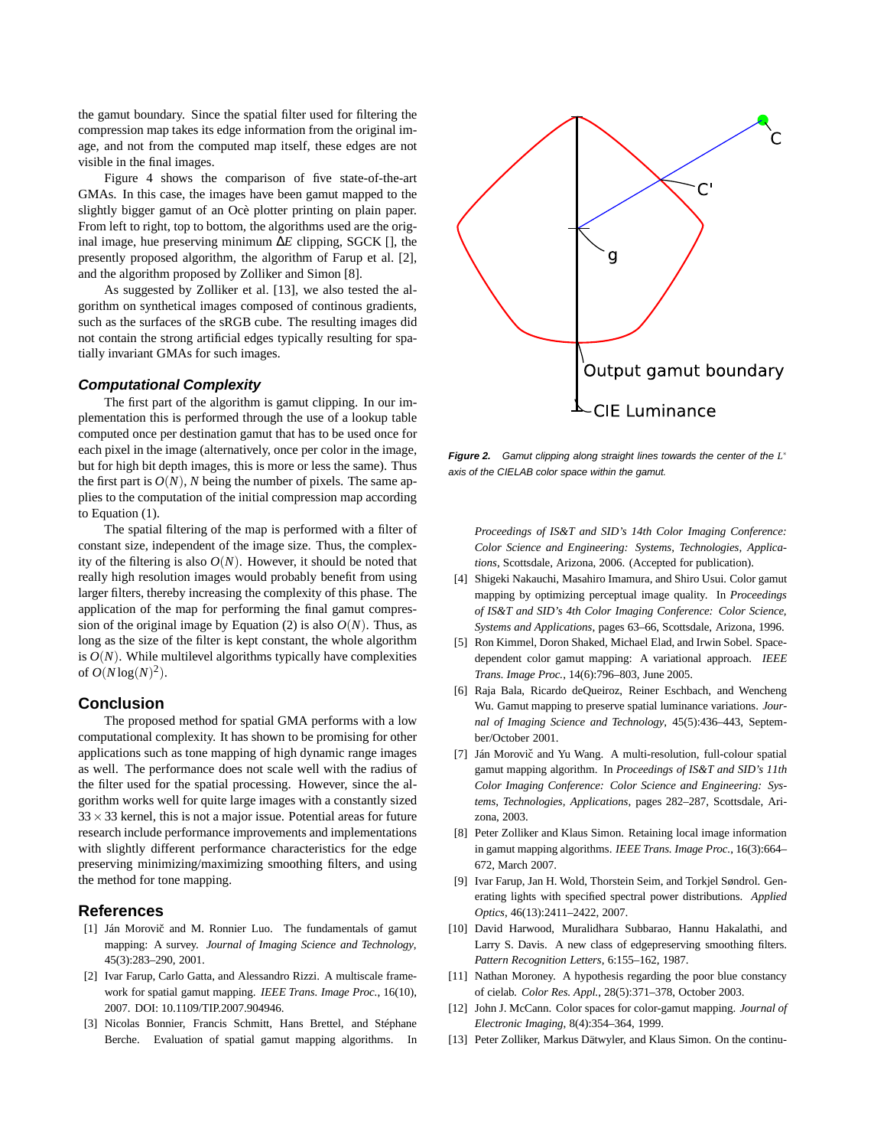the gamut boundary. Since the spatial filter used for filtering the compression map takes its edge information from the original image, and not from the computed map itself, these edges are not visible in the final images.

Figure 4 shows the comparison of five state-of-the-art GMAs. In this case, the images have been gamut mapped to the slightly bigger gamut of an Ocè plotter printing on plain paper. From left to right, top to bottom, the algorithms used are the original image, hue preserving minimum ∆*E* clipping, SGCK [], the presently proposed algorithm, the algorithm of Farup et al. [2], and the algorithm proposed by Zolliker and Simon [8].

As suggested by Zolliker et al. [13], we also tested the algorithm on synthetical images composed of continous gradients, such as the surfaces of the sRGB cube. The resulting images did not contain the strong artificial edges typically resulting for spatially invariant GMAs for such images.

#### **Computational Complexity**

The first part of the algorithm is gamut clipping. In our implementation this is performed through the use of a lookup table computed once per destination gamut that has to be used once for each pixel in the image (alternatively, once per color in the image, but for high bit depth images, this is more or less the same). Thus the first part is  $O(N)$ , *N* being the number of pixels. The same applies to the computation of the initial compression map according to Equation (1).

The spatial filtering of the map is performed with a filter of constant size, independent of the image size. Thus, the complexity of the filtering is also  $O(N)$ . However, it should be noted that really high resolution images would probably benefit from using larger filters, thereby increasing the complexity of this phase. The application of the map for performing the final gamut compression of the original image by Equation (2) is also  $O(N)$ . Thus, as long as the size of the filter is kept constant, the whole algorithm is  $O(N)$ . While multilevel algorithms typically have complexities of  $O(N \log(N)^2)$ .

### **Conclusion**

The proposed method for spatial GMA performs with a low computational complexity. It has shown to be promising for other applications such as tone mapping of high dynamic range images as well. The performance does not scale well with the radius of the filter used for the spatial processing. However, since the algorithm works well for quite large images with a constantly sized  $33 \times 33$  kernel, this is not a major issue. Potential areas for future research include performance improvements and implementations with slightly different performance characteristics for the edge preserving minimizing/maximizing smoothing filters, and using the method for tone mapping.

## **References**

- [1] Ján Morovič and M. Ronnier Luo. The fundamentals of gamut mapping: A survey. *Journal of Imaging Science and Technology*, 45(3):283–290, 2001.
- [2] Ivar Farup, Carlo Gatta, and Alessandro Rizzi. A multiscale framework for spatial gamut mapping. *IEEE Trans. Image Proc.*, 16(10), 2007. DOI: 10.1109/TIP.2007.904946.
- [3] Nicolas Bonnier, Francis Schmitt, Hans Brettel, and Stéphane Berche. Evaluation of spatial gamut mapping algorithms. In



**Figure 2.** Gamut clipping along straight lines towards the center of the *L* ∗ axis of the CIELAB color space within the gamut.

*Proceedings of IS&T and SID's 14th Color Imaging Conference: Color Science and Engineering: Systems, Technologies, Applications*, Scottsdale, Arizona, 2006. (Accepted for publication).

- [4] Shigeki Nakauchi, Masahiro Imamura, and Shiro Usui. Color gamut mapping by optimizing perceptual image quality. In *Proceedings of IS&T and SID's 4th Color Imaging Conference: Color Science, Systems and Applications*, pages 63–66, Scottsdale, Arizona, 1996.
- [5] Ron Kimmel, Doron Shaked, Michael Elad, and Irwin Sobel. Spacedependent color gamut mapping: A variational approach. *IEEE Trans. Image Proc.*, 14(6):796–803, June 2005.
- [6] Raja Bala, Ricardo deQueiroz, Reiner Eschbach, and Wencheng Wu. Gamut mapping to preserve spatial luminance variations. *Journal of Imaging Science and Technology*, 45(5):436–443, September/October 2001.
- [7] Ján Morovič and Yu Wang. A multi-resolution, full-colour spatial gamut mapping algorithm. In *Proceedings of IS&T and SID's 11th Color Imaging Conference: Color Science and Engineering: Systems, Technologies, Applications*, pages 282–287, Scottsdale, Arizona, 2003.
- [8] Peter Zolliker and Klaus Simon. Retaining local image information in gamut mapping algorithms. *IEEE Trans. Image Proc.*, 16(3):664– 672, March 2007.
- [9] Ivar Farup, Jan H. Wold, Thorstein Seim, and Torkjel Søndrol. Generating lights with specified spectral power distributions. *Applied Optics*, 46(13):2411–2422, 2007.
- [10] David Harwood, Muralidhara Subbarao, Hannu Hakalathi, and Larry S. Davis. A new class of edgepreserving smoothing filters. *Pattern Recognition Letters*, 6:155–162, 1987.
- [11] Nathan Moroney. A hypothesis regarding the poor blue constancy of cielab. *Color Res. Appl.*, 28(5):371–378, October 2003.
- [12] John J. McCann. Color spaces for color-gamut mapping. *Journal of Electronic Imaging*, 8(4):354–364, 1999.
- [13] Peter Zolliker, Markus Dätwyler, and Klaus Simon. On the continu-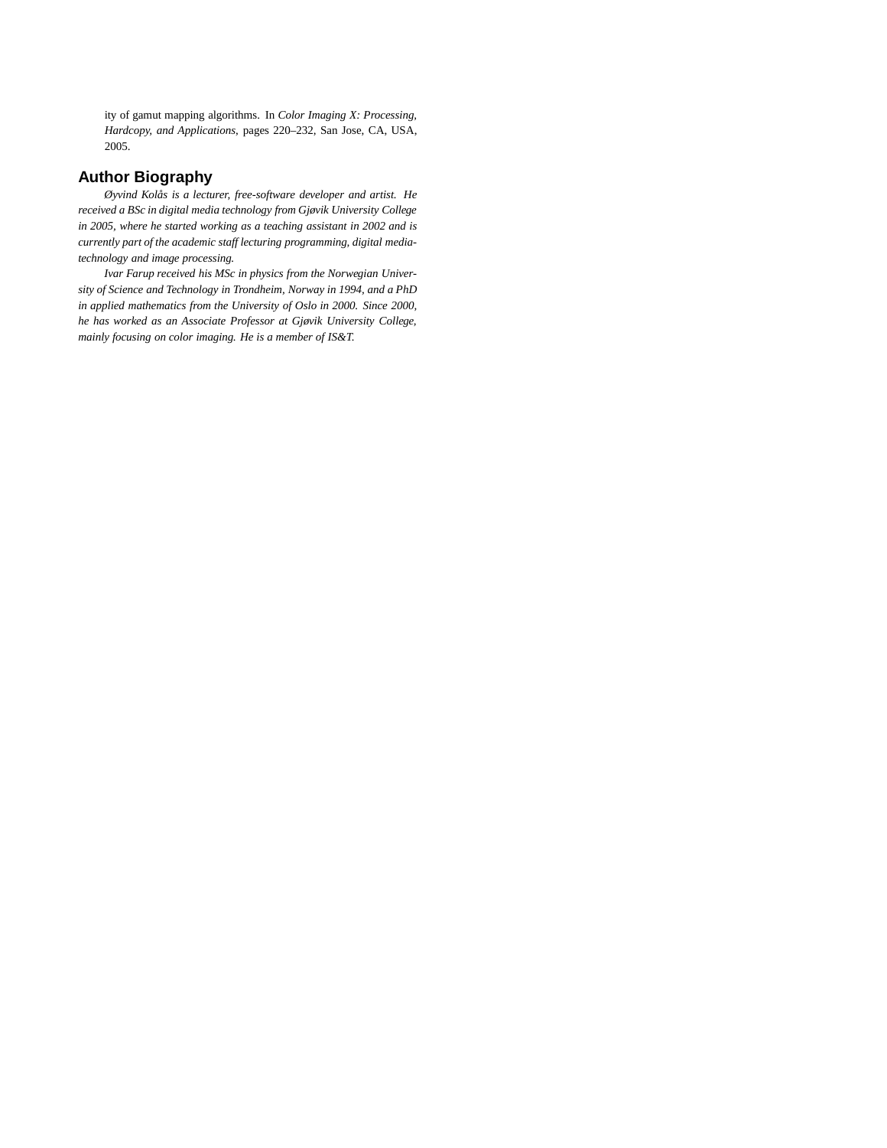ity of gamut mapping algorithms. In *Color Imaging X: Processing, Hardcopy, and Applications*, pages 220–232, San Jose, CA, USA, 2005.

## **Author Biography**

*Øyvind Kolås is a lecturer, free-software developer and artist. He received a BSc in digital media technology from Gjøvik University College in 2005, where he started working as a teaching assistant in 2002 and is currently part of the academic staff lecturing programming, digital mediatechnology and image processing.*

*Ivar Farup received his MSc in physics from the Norwegian University of Science and Technology in Trondheim, Norway in 1994, and a PhD in applied mathematics from the University of Oslo in 2000. Since 2000, he has worked as an Associate Professor at Gjøvik University College, mainly focusing on color imaging. He is a member of IS&T.*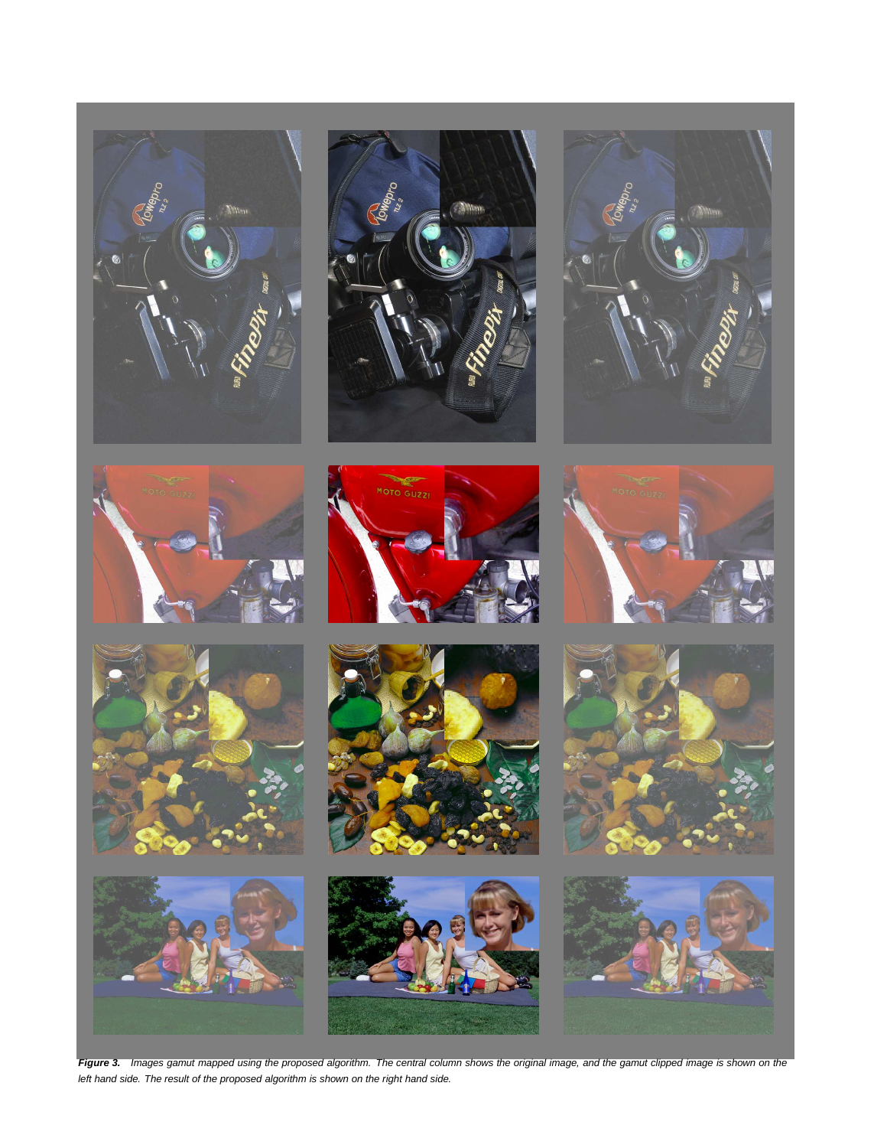











MOTO GUZZI







**Figure 3.** Images gamut mapped using the proposed algorithm. The central column shows the original image, and the gamut clipped image is shown on the left hand side. The result of the proposed algorithm is shown on the right hand side.